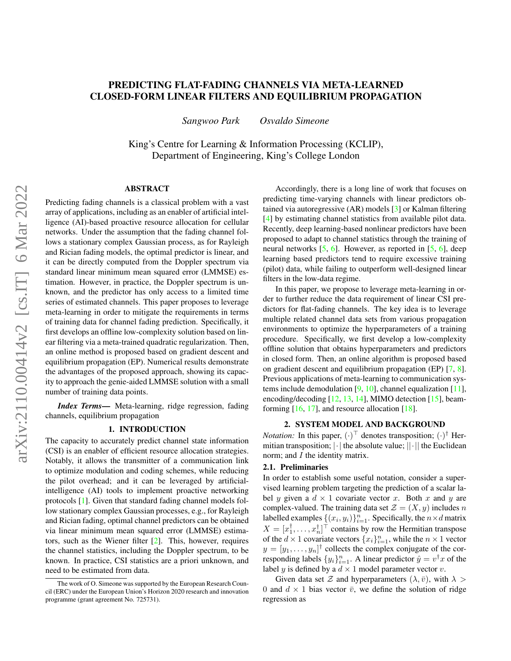# PREDICTING FLAT-FADING CHANNELS VIA META-LEARNED CLOSED-FORM LINEAR FILTERS AND EQUILIBRIUM PROPAGATION

*Sangwoo Park Osvaldo Simeone*

King's Centre for Learning & Information Processing (KCLIP), Department of Engineering, King's College London

### ABSTRACT

Predicting fading channels is a classical problem with a vast array of applications, including as an enabler of artificial intelligence (AI)-based proactive resource allocation for cellular networks. Under the assumption that the fading channel follows a stationary complex Gaussian process, as for Rayleigh and Rician fading models, the optimal predictor is linear, and it can be directly computed from the Doppler spectrum via standard linear minimum mean squared error (LMMSE) estimation. However, in practice, the Doppler spectrum is unknown, and the predictor has only access to a limited time series of estimated channels. This paper proposes to leverage meta-learning in order to mitigate the requirements in terms of training data for channel fading prediction. Specifically, it first develops an offline low-complexity solution based on linear filtering via a meta-trained quadratic regularization. Then, an online method is proposed based on gradient descent and equilibrium propagation (EP). Numerical results demonstrate the advantages of the proposed approach, showing its capacity to approach the genie-aided LMMSE solution with a small number of training data points.

*Index Terms*— Meta-learning, ridge regression, fading channels, equilibrium propagation

# 1. INTRODUCTION

The capacity to accurately predict channel state information (CSI) is an enabler of efficient resource allocation strategies. Notably, it allows the transmitter of a communication link to optimize modulation and coding schemes, while reducing the pilot overhead; and it can be leveraged by artificialintelligence (AI) tools to implement proactive networking protocols [\[1\]](#page-4-0). Given that standard fading channel models follow stationary complex Gaussian processes, e.g., for Rayleigh and Rician fading, optimal channel predictors can be obtained via linear minimum mean squared error (LMMSE) estimators, such as the Wiener filter [\[2\]](#page-4-1). This, however, requires the channel statistics, including the Doppler spectrum, to be known. In practice, CSI statistics are a priori unknown, and need to be estimated from data.

Accordingly, there is a long line of work that focuses on predicting time-varying channels with linear predictors obtained via autoregressive (AR) models [\[3\]](#page-4-2) or Kalman filtering [\[4\]](#page-4-3) by estimating channel statistics from available pilot data. Recently, deep learning-based nonlinear predictors have been proposed to adapt to channel statistics through the training of neural networks  $[5, 6]$  $[5, 6]$  $[5, 6]$ . However, as reported in  $[5, 6]$ , deep learning based predictors tend to require excessive training (pilot) data, while failing to outperform well-designed linear filters in the low-data regime.

In this paper, we propose to leverage meta-learning in order to further reduce the data requirement of linear CSI predictors for flat-fading channels. The key idea is to leverage multiple related channel data sets from various propagation environments to optimize the hyperparameters of a training procedure. Specifically, we first develop a low-complexity offline solution that obtains hyperparameters and predictors in closed form. Then, an online algorithm is proposed based on gradient descent and equilibrium propagation (EP) [\[7,](#page-4-6) [8\]](#page-4-7). Previous applications of meta-learning to communication systems include demodulation  $[9, 10]$  $[9, 10]$  $[9, 10]$ , channel equalization  $[11]$ , encoding/decoding [\[12,](#page-4-11) [13,](#page-4-12) [14\]](#page-4-13), MIMO detection [\[15\]](#page-4-14), beamforming  $[16, 17]$  $[16, 17]$  $[16, 17]$ , and resource allocation  $[18]$ .

## 2. SYSTEM MODEL AND BACKGROUND

*Notation:* In this paper,  $(\cdot)^{\top}$  denotes transposition;  $(\cdot)^{\dagger}$  Hermitian transposition; |·| the absolute value; ||·|| the Euclidean norm; and *I* the identity matrix.

# 2.1. Preliminaries

In order to establish some useful notation, consider a supervised learning problem targeting the prediction of a scalar label y given a  $d \times 1$  covariate vector x. Both x and y are complex-valued. The training data set  $\mathcal{Z} = (X, y)$  includes n labelled examples  $\{(x_i, y_i)\}_{i=1}^n$ . Specifically, the  $n \times d$  matrix  $X = [x_1^{\dagger}, \dots, x_n^{\dagger}]^{\top}$  contains by row the Hermitian transpose of the  $d \times 1$  covariate vectors  $\{x_i\}_{i=1}^n$ , while the  $n \times 1$  vector  $y = [y_1, \dots, y_n]^\dagger$  collects the complex conjugate of the corresponding labels  $\{y_i\}_{i=1}^n$ . A linear predictor  $\hat{y} = v^{\dagger}x$  of the label y is defined by a  $d \times 1$  model parameter vector v.

Given data set Z and hyperparameters  $(\lambda, \bar{v})$ , with  $\lambda >$ 0 and  $d \times 1$  bias vector  $\bar{v}$ , we define the solution of ridge regression as

The work of O. Simeone was supported by the European Research Council (ERC) under the European Union's Horizon 2020 research and innovation programme (grant agreement No. 725731).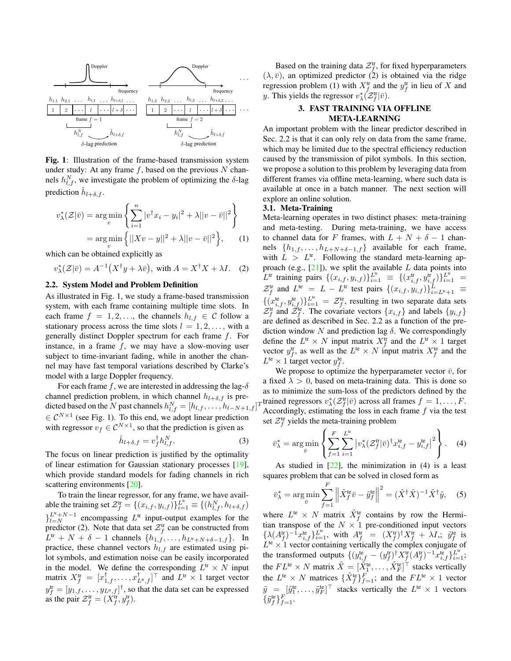<span id="page-1-0"></span>

Fig. 1: Illustration of the frame-based transmission system under study: At any frame  $f$ , based on the previous  $N$  channels  $h_{l,f}^{N}$ , we investigate the problem of optimizing the  $\delta$ -lag prediction  $\hat{h}_{l+\delta,f}$ .

$$
v_{\lambda}^*(\mathcal{Z}|\bar{v}) = \underset{v}{\arg\min} \left\{ \sum_{i=1}^n |v^\dagger x_i - y_i|^2 + \lambda ||v - \bar{v}||^2 \right\}
$$

$$
= \underset{v}{\arg\min} \left\{ ||Xv - y||^2 + \lambda ||v - \bar{v}||^2 \right\}, \qquad (1)
$$

which can be obtained explicitly as

$$
v_{\lambda}^*(\mathcal{Z}|\bar{v}) = A^{-1}(X^{\dagger}y + \lambda \bar{v}), \text{ with } A = X^{\dagger}X + \lambda I. \quad (2)
$$

## <span id="page-1-3"></span>2.2. System Model and Problem Definition

As illustrated in Fig. [1,](#page-1-0) we study a frame-based transmission system, with each frame containing multiple time slots. In each frame  $f = 1, 2, \ldots$ , the channels  $h_{l,f} \in \mathcal{C}$  follow a stationary process across the time slots  $l = 1, 2, \ldots$ , with a generally distinct Doppler spectrum for each frame f. For instance, in a frame  $f$ , we may have a slow-moving user subject to time-invariant fading, while in another the channel may have fast temporal variations described by Clarke's model with a large Doppler frequency.

For each frame f, we are interested in addressing the lag- $\delta$ channel prediction problem, in which channel  $h_{l+\delta,f}$  is predicted based on the  $N$  past channels  $h_{l,f}^N = [h_{l,f}, \ldots, h_{l-N+1,f}]$  $\in \mathcal{C}^{N \times 1}$  (see Fig. [1\)](#page-1-0). To this end, we adopt linear prediction with regressor  $v_f \in \mathcal{C}^{N \times 1}$ , so that the prediction is given as

$$
\hat{h}_{l+\delta,f} = v_f^{\dagger} h_{l,f}^N. \tag{3}
$$

The focus on linear prediction is justified by the optimality of linear estimation for Gaussian stationary processes [\[19\]](#page-4-18), which provide standard models for fading channels in rich scattering environments [\[20\]](#page-4-19).

To train the linear regressor, for any frame, we have available the training set  $\mathcal{Z}_f^{\text{tr}} = \{(x_{i,f}, y_{i,f})\}_{i=1}^{L^{\text{tr}}} \equiv \{(h_{l,f}^N, h_{l+\delta,f})\}$  $\big\}^{L^{\text{tr}}+N-1}$  encompassing  $L^{\text{tr}}$  input-output examples for the predictor [\(2\)](#page-1-1). Note that data set  $\mathcal{Z}_f^{\text{tr}}$  can be constructed from  $L^{\text{tr}}$  + N +  $\delta$  - 1 channels  $\{h_{1,f},\ldots,h_{L^{\text{tr}}+N+\delta-1,f}\}$ . In practice, these channel vectors  $h_{l,f}$  are estimated using pilot symbols, and estimation noise can be easily incorporated in the model. We define the corresponding  $L^{\text{tr}} \times N$  input matrix  $X_f^{\text{tr}} = [x_{1,f}^{\dagger}, \dots, x_{L^{\text{tr}},f}^{\dagger}]^{\top}$  and  $L^{\text{tr}} \times 1$  target vector  $y_f^{\text{tr}} = [y_{1,f}, \dots, y_{L^{\text{tr}},f}]^{\dagger}$ , so that the data set can be expressed as the pair  $\mathcal{Z}_f^{\text{tr}} = (X_f^{\text{tr}}, y_f^{\text{tr}})$ .

Based on the training data  $\mathcal{Z}_f^{\text{tr}}$ , for fixed hyperparameters  $(\lambda, \bar{v})$ , an optimized predictor [\(2\)](#page-1-1) is obtained via the ridge regression problem [\(1\)](#page-1-2) with  $X_f^{\text{tr}}$  and the  $y_f^{\text{tr}}$  in lieu of X and y. This yields the regressor  $v_{\lambda}^*(\mathcal{Z}_f^{\text{tr}}|\bar{v})$ .

# 3. FAST TRAINING VIA OFFLINE META-LEARNING

An important problem with the linear predictor described in Sec. [2.2](#page-1-3) is that it can only rely on data from the same frame, which may be limited due to the spectral efficiency reduction caused by the transmission of pilot symbols. In this section, we propose a solution to this problem by leveraging data from different frames via offline meta-learning, where such data is available at once in a batch manner. The next section will explore an online solution.

#### 3.1. Meta-Training

<span id="page-1-2"></span><span id="page-1-1"></span>Meta-learning operates in two distinct phases: meta-training and meta-testing. During meta-training, we have access to channel data for F frames, with  $L + N + \delta - 1$  channels  $\{h_{1,f}, \ldots, h_{L+N+\delta-1,f}\}$  available for each frame, with  $L > L<sup>tr</sup>$ . Following the standard meta-learning approach (e.g.,  $[21]$ ), we split the available L data points into  $L^{\text{tr}}$  training pairs  $\{(x_{i,f}, y_{i,f})\}_{i=1}^{L^{\text{tr}}} \equiv \{(x_{i,f}^{\text{tr}}, y_{i,f}^{\text{tr}})\}_{i=1}^{L^{\text{tr}}}$  =  $\mathcal{Z}_f^{\text{tr}}$  and  $L^{\text{te}} = L - L^{\text{tr}}$  test pairs  $\{(x_{i,f}, y_{i,f})\}_{i=L^{\text{tr}}+1}^L \equiv$  $\{(x_{i,f}^{\text{te}}, y_{i,f}^{\text{te}})\}_{i=1}^{L^{\text{te}}} = \mathcal{Z}_f^{\text{te}}$ , resulting in two separate data sets  $\mathcal{Z}_f^{\text{tr}}$  and  $\mathcal{Z}_f^{\text{te}}$ . The covariate vectors  $\{x_{i,f}\}$  and labels  $\{y_{i,f}\}$ are defined as described in Sec. [2.2](#page-1-3) as a function of the prediction window N and prediction lag  $\delta$ . We correspondingly define the  $L^{\text{tr}} \times N$  input matrix  $X_f^{\text{tr}}$  and the  $L^{\text{tr}} \times 1$  target vector  $y_f^{\text{tr}}$ , as well as the  $L^{\text{te}} \times N$  input matrix  $X_f^{\text{te}}$  and the  $L^{\text{te}} \times 1$  target vector  $y_f^{\text{te}}$ .

 $_T$ trained regressors  $v^*_{\lambda}(\mathcal{Z}_f^{\text{tr}}|\bar{v})$  across all frames  $f = 1, \ldots, F$ . We propose to optimize the hyperparameter vector  $\bar{v}$ , for a fixed  $\lambda > 0$ , based on meta-training data. This is done so as to minimize the sum-loss of the predictors defined by the Accordingly, estimating the loss in each frame  $f$  via the test set  $\mathcal{Z}_f^{\text{te}}$  yields the meta-training problem

<span id="page-1-4"></span>
$$
\bar{v}_{\lambda}^* = \arg\min_{\bar{v}} \left\{ \sum_{f=1}^F \sum_{i=1}^{L^{\text{te}}} \left| v_{\lambda}^*(\mathcal{Z}_f^{\text{tr}}|\bar{v})^\dagger x_{i,f}^{\text{te}} - y_{i,f}^{\text{te}} \right|^2 \right\}.
$$
 (4)

As studied in  $[22]$ , the minimization in [\(4\)](#page-1-4) is a least squares problem that can be solved in closed form as

$$
\bar{v}_{\lambda}^{*} = \arg\min_{\bar{v}} \sum_{f=1}^{F} \left\| \tilde{X}_{f}^{\text{te}} \bar{v} - \tilde{y}_{f}^{\text{te}} \right\|^{2} = (\tilde{X}^{\dagger} \tilde{X})^{-1} \tilde{X}^{\dagger} \tilde{y}, \quad (5)
$$

where  $L^{te} \times N$  matrix  $\tilde{X}_f^{te}$  contains by row the Hermitian transpose of the  $N \times 1$  pre-conditioned input vectors  $\{\lambda(A_f^{\text{tr}})^{-1}x_{i,f}^{\text{te}}\}_{i=1}^{L^{\text{te}}}, \ \text{with} \ \ A_f^{\text{tr}} = (X_f^{\text{tr}})^{\dagger}X_f^{\text{tr}} + \lambda I,; \ \ \tilde{y}_f^{\text{te}} \ \text{is}$  $L^{te} \times 1$  vector containing vertically the complex conjugate of the transformed outputs  $\{ (y_{i,f}^{\text{te}} - (y_f^{\text{tr}})^\dagger X_f^{\text{tr}} (A_f^{\text{tr}})^{-1} x_{i,f}^{\text{te}} \}_{i=1}^L;$ the  $FL^{\text{te}} \times N$  matrix  $\tilde{X} = [\tilde{X}_1^{\text{te}}, \dots, \tilde{X}_F^{\text{te}}]^\top$  stacks vertically the  $L^{te} \times N$  matrices  $\{\tilde{X}_f^{te}\}_{f=1}^F$ ; and the  $FL^{te} \times 1$  vector  $\tilde{y} = [\tilde{y}_1^{\text{te}}, \dots, \tilde{y}_F^{\text{te}}]^\top$  stacks vertically the  $L^{\text{te}} \times 1$  vectors  $\{\tilde{y}_f^{\text{te}}\}_{f=1}^F$ .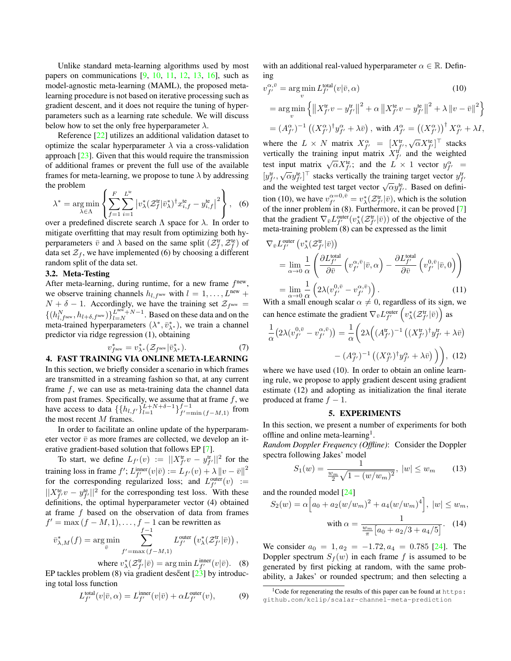Unlike standard meta-learning algorithms used by most papers on communications  $[9, 10, 11, 12, 13, 16]$  $[9, 10, 11, 12, 13, 16]$  $[9, 10, 11, 12, 13, 16]$  $[9, 10, 11, 12, 13, 16]$  $[9, 10, 11, 12, 13, 16]$  $[9, 10, 11, 12, 13, 16]$  $[9, 10, 11, 12, 13, 16]$  $[9, 10, 11, 12, 13, 16]$  $[9, 10, 11, 12, 13, 16]$  $[9, 10, 11, 12, 13, 16]$  $[9, 10, 11, 12, 13, 16]$ , such as model-agnostic meta-learning (MAML), the proposed metalearning procedure is not based on iterative processing such as gradient descent, and it does not require the tuning of hyperparameters such as a learning rate schedule. We will discuss below how to set the only free hyperparameter  $\lambda$ .

Reference [\[22\]](#page-4-21) utilizes an additional validation dataset to optimize the scalar hyperparameter  $\lambda$  via a cross-validation approach [\[23\]](#page-4-22). Given that this would require the transmission of additional frames or prevent the full use of the available frames for meta-learning, we propose to tune  $\lambda$  by addressing the problem

$$
\lambda^* = \underset{\lambda \in \Lambda}{\arg \min} \left\{ \sum_{f=1}^F \sum_{i=1}^{L^{\text{te}}} \left| v^*_{\lambda} (\mathcal{Z}_f^{\text{tr}} | \bar{v}^*_{\lambda})^\dagger x_{i,f}^{\text{te}} - y_{i,f}^{\text{te}} \right|^2 \right\}, \tag{6}
$$

over a predefined discrete search  $\Lambda$  space for  $\lambda$ . In order to mitigate overfitting that may result from optimizing both hyperparameters  $\bar{v}$  and  $\lambda$  based on the same split  $(\mathcal{Z}_f^{\text{tr}}, \mathcal{Z}_f^{\text{te}})$  of data set  $\mathcal{Z}_f$ , we have implemented [\(6\)](#page-2-0) by choosing a different random split of the data set.

# 3.2. Meta-Testing

After meta-learning, during runtime, for a new frame  $f<sup>new</sup>$ , we observe training channels  $h_{l,f^{new}}$  with  $l = 1, \ldots, L^{new}$  +  $N + \delta - 1$ . Accordingly, we have the training set  $\mathcal{Z}_{f^{\text{new}}} =$  $\{(h_{l,free}^{N}, h_{l+\delta, f^{\text{new}}})\}_{l=N}^{L^{\text{new}}+N-1}$ . Based on these data and on the meta-trained hyperparameters  $(\lambda^*, \bar{v}_{\lambda^*}^*)$ , we train a channel predictor via ridge regression [\(1\)](#page-1-2), obtaining

$$
v_{fnew}^* = v_{\lambda^*}^*(\mathcal{Z}_{fnew}|\bar{v}_{\lambda^*}^*).
$$
 (7)

4. FAST TRAINING VIA ONLINE META-LEARNING In this section, we briefly consider a scenario in which frames are transmitted in a streaming fashion so that, at any current frame  $f$ , we can use as meta-training data the channel data from past frames. Specifically, we assume that at frame  $f$ , we have access to data  $\{\{h_{l,f'}\}_{l=1}^{L+N+\delta-1}\}_{f'=1}^{f-1}$  $f' = \min (f - M, 1)$  from the most recent M frames.

In order to facilitate an online update of the hyperparameter vector  $\bar{v}$  as more frames are collected, we develop an iterative gradient-based solution that follows EP [\[7\]](#page-4-6).

To start, we define  $L_{f'}(v) := ||X_{f'}^{\text{tr}}v - y_{f'}^{\text{tr}}||^2$  for the training loss in frame  $f'$ ;  $L_{f'}^{\text{inner}}(v|\bar{v}) := L_{f'}(v) + \lambda ||v - \bar{v}||^2$ for the corresponding regularized loss; and  $L_{f'}^{\text{outer}}(v) :=$  $||X_{f'}^{\text{te}}v - y_{f'}^{\text{te}}||^2$  for the corresponding test loss. With these definitions, the optimal hyperparameter vector [\(4\)](#page-1-4) obtained at frame  $f$  based on the observation of data from frames  $f' = \max (f - M, 1), \ldots, f - 1$  can be rewritten as

$$
\bar{v}_{\lambda,M}^*(f) = \arg\min_{\bar{v}} \sum_{f'=\max\left(f-M,1\right)}^{f-1} L_{f'}^{\text{outer}} \left( v_{\lambda}^*(\mathcal{Z}_{f'}^{\text{tr}}|\bar{v}) \right),
$$

where  $v_{\lambda}^{*}(Z_{f'}^{\text{tr}}|\bar{v}) = \arg \min L_{f'}^{\text{inner}}(v|\bar{v})$ . (8) EP tackles problem [\(8\)](#page-2-1) via gradient descent  $\left[2\frac{3}{2}\right]$  by introducing total loss function

$$
L_f^{\text{total}}(v|\bar{v}, \alpha) = L_{f'}^{\text{inner}}(v|\bar{v}) + \alpha L_{f'}^{\text{outer}}(v), \tag{9}
$$

with an additional real-valued hyperparameter  $\alpha \in \mathbb{R}$ . Defining

<span id="page-2-2"></span>
$$
v_{f'}^{\alpha,\bar{v}} = \underset{v}{\arg\min} L_{f'}^{\text{total}}(v|\bar{v},\alpha)
$$
(10)  
= 
$$
\underset{v}{\arg\min} \left\{ \left\| X_{f'}^{\text{tr}} v - y_{f'}^{\text{tr}} \right\|^2 + \alpha \left\| X_{f'}^{\text{te}} v - y_{f'}^{\text{te}} \right\|^2 + \lambda \left\| v - \bar{v} \right\|^2 \right\}
$$
  
= 
$$
(A_{f'}^{\alpha})^{-1} \left( (X_{f'}^{\alpha})^{\dagger} y_{f'}^{\alpha} + \lambda \bar{v} \right), \text{ with } A_{f'}^{\alpha} = \left( (X_{f'}^{\alpha}) \right)^{\dagger} X_{f'}^{\alpha} + \lambda I,
$$

where the  $L \times N$  matrix  $X_{f'}^{\alpha} = [X_{f'}^{\text{tr}}, \sqrt{\alpha} X_{f'}^{\text{te}}]^{\top}$  stacks vertically the training input matrix  $X_{f'}^{\text{tr}}$  and the weighted test input matrix  $\sqrt{\alpha}X_{f'}^{\text{te}}$ ; and the  $L \times 1$  vector  $y_{f'}^{\alpha}$  =  $[y_{f'}^{\text{tr}}, \sqrt{\alpha} y_{f'}^{\text{te}}]^{\top}$  stacks vertically the training target vector  $y_{f'}^{\text{tr}}$  $[g_f, \sqrt{\alpha}g_{f'}]$  stacks vertically the training target vector  $g_{f'}$ <br>and the weighted test target vector  $\sqrt{\alpha}y_{f'}^{\text{te}}$ . Based on defini-tion [\(10\)](#page-2-2), we have  $v_{f'}^{\alpha=0,\bar{v}} = v_{\lambda}^*(\mathcal{Z}_{f'}^{\text{tr}}|\bar{v})$ , which is the solution of the inner problem in [\(8\)](#page-2-1). Furthermore, it can be proved [\[7\]](#page-4-6) that the gradient  $\nabla_{\bar{v}} L_{f'}^{\text{outer}}(v_{\lambda}^*(\mathcal{Z}_{f'}^{\text{tr}}|\bar{v}))$  of the objective of the meta-training problem [\(8\)](#page-2-1) can be expressed as the limit

<span id="page-2-0"></span>
$$
\nabla_{\bar{v}} L_{f'}^{\text{outer}} \left( v_{\lambda}^{*} ( \mathcal{Z}_{f'}^{\text{tr}} | \bar{v} ) \right)
$$
\n
$$
= \lim_{\alpha \to 0} \frac{1}{\alpha} \left( \frac{\partial L_{f'}^{\text{total}}}{\partial \bar{v}} \left( v_{f'}^{\alpha, \bar{v}} | \bar{v}, \alpha \right) - \frac{\partial L_{f'}^{\text{total}}}{\partial \bar{v}} \left( v_{f'}^{0, \bar{v}} | \bar{v}, 0 \right) \right)
$$
\n
$$
= \lim_{\alpha \to 0} \frac{1}{\alpha} \left( 2\lambda (v_{f'}^{0, \bar{v}} - v_{f'}^{\alpha, \bar{v}}) \right). \tag{11}
$$
\nWith a small enough scalar  $\alpha \neq 0$ , regardless of its sign, we

can hence estimate the gradient  $\nabla_{\bar{v}} L_{f'}^{\text{outer}} \left( v_{\lambda}^* ( \mathcal{Z}_{f'}^{\text{tr}} | \bar{v}) \right)$  as

<span id="page-2-5"></span>
$$
\frac{1}{\alpha} \left( 2\lambda (v_{f'}^{0,\bar{v}} - v_{f'}^{\alpha,\bar{v}}) \right) = \frac{1}{\alpha} \left( 2\lambda \left( (A_{f'}^{\text{tr}})^{-1} \left( (X_{f'}^{\text{tr}})^{\dagger} y_{f'}^{\text{tr}} + \lambda \bar{v} \right) \right) - (A_{f'}^{\alpha})^{-1} \left( (X_{f'}^{\alpha})^{\dagger} y_{f'}^{\alpha} + \lambda \bar{v} \right) \right), \tag{12}
$$

where we have used [\(10\)](#page-2-2). In order to obtain an online learning rule, we propose to apply gradient descent using gradient estimate [\(12\)](#page-2-3) and adopting as initialization the final iterate produced at frame  $f - 1$ .

#### <span id="page-2-3"></span>5. EXPERIMENTS

In this section, we present a number of experiments for both offline and online meta-learning<sup>[1](#page-2-4)</sup>.

*Random Doppler Frequency (Offline)*: Consider the Doppler spectra following Jakes' model

$$
S_1(w) = \frac{1}{\frac{w_m}{2}\sqrt{1 - (w/w_m)^2}}, \ |w| \le w_m \qquad (13)
$$

and the rounded model [\[24\]](#page-4-23)

$$
S_2(w) = \alpha \Big[ a_0 + a_2 (w/w_m)^2 + a_4 (w/w_m)^4 \Big], \ |w| \le w_m,
$$
  
with  $\alpha = \frac{1}{\frac{w_m}{\pi} \Big[ a_0 + a_2/3 + a_4/5 \Big]}.$  (14)

<span id="page-2-1"></span>We consider  $a_0 = 1, a_2 = -1.72, a_4 = 0.785$  [\[24\]](#page-4-23). The Doppler spectrum  $S_f(w)$  in each frame f is assumed to be generated by first picking at random, with the same probability, a Jakes' or rounded spectrum; and then selecting a

<span id="page-2-4"></span> $1$ Code for regenerating the results of this paper can be found at [https:](https:github.com/kclip/scalar-channel-meta-prediction) [github.com/kclip/scalar-channel-meta-prediction](https:github.com/kclip/scalar-channel-meta-prediction)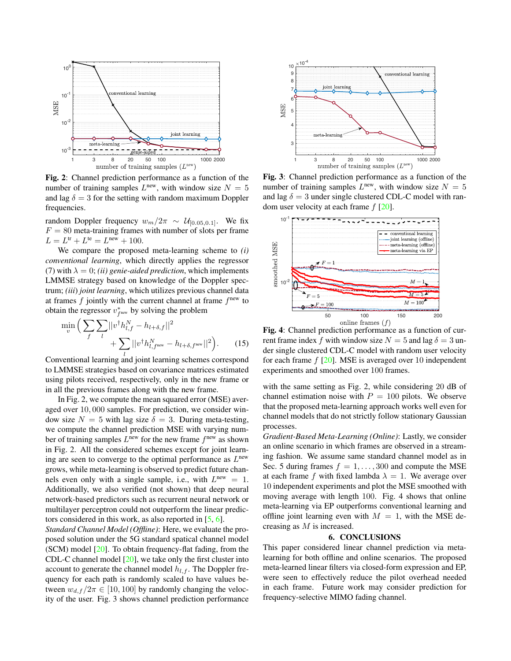<span id="page-3-0"></span>

Fig. 2: Channel prediction performance as a function of the number of training samples  $L^{\text{new}}$ , with window size  $N = 5$ and lag  $\delta = 3$  for the setting with random maximum Doppler frequencies.

random Doppler frequency  $w_m/2\pi \sim U_{[0.05,0.1]}$ . We fix  $F = 80$  meta-training frames with number of slots per frame  $L = L<sup>tr</sup> + L<sup>te</sup> = L<sup>new</sup> + 100.$ 

We compare the proposed meta-learning scheme to *(i) conventional learning*, which directly applies the regressor [\(7\)](#page-2-5) with  $\lambda = 0$ ; *(ii) genie-aided prediction*, which implements LMMSE strategy based on knowledge of the Doppler spectrum; *(iii*) *joint learning*, which utilizes previous channel data at frames  $f$  jointly with the current channel at frame  $f^{new}$  to obtain the regressor  $v_{f^n}^*$  by solving the problem

$$
\min_{v} \left( \sum_{f} \sum_{l} ||v^{\dagger} h_{l,f}^{N} - h_{l+\delta,f}||^{2} + \sum_{l} ||v^{\dagger} h_{l,f}^{N} - h_{l+\delta,f}^{new}||^{2} \right). \tag{15}
$$

Conventional learning and joint learning schemes correspond to LMMSE strategies based on covariance matrices estimated using pilots received, respectively, only in the new frame or in all the previous frames along with the new frame.

In Fig. [2,](#page-3-0) we compute the mean squared error (MSE) averaged over 10, 000 samples. For prediction, we consider window size  $N = 5$  with lag size  $\delta = 3$ . During meta-testing, we compute the channel prediction MSE with varying number of training samples  $L^{\text{new}}$  for the new frame  $f^{\text{new}}$  as shown in Fig. [2.](#page-3-0) All the considered schemes except for joint learning are seen to converge to the optimal performance as  $L^{\text{new}}$ grows, while meta-learning is observed to predict future channels even only with a single sample, i.e., with  $L^{new} = 1$ . Additionally, we also verified (not shown) that deep neural network-based predictors such as recurrent neural network or multilayer perceptron could not outperform the linear predictors considered in this work, as also reported in [\[5,](#page-4-4) [6\]](#page-4-5).

*Standard Channel Model (Offline)*: Here, we evaluate the proposed solution under the 5G standard spatical channel model (SCM) model [\[20\]](#page-4-19). To obtain frequency-flat fading, from the CDL-C channel model [\[20\]](#page-4-19), we take only the first cluster into account to generate the channel model  $h_{l,f}$ . The Doppler frequency for each path is randomly scaled to have values between  $w_{d,f}/2\pi \in [10,100]$  by randomly changing the velocity of the user. Fig. [3](#page-3-1) shows channel prediction performance

<span id="page-3-1"></span>

Fig. 3: Channel prediction performance as a function of the number of training samples  $L^{\text{new}}$ , with window size  $N = 5$ and lag  $\delta = 3$  under single clustered CDL-C model with random user velocity at each frame  $f$  [\[20\]](#page-4-19).

<span id="page-3-3"></span>

<span id="page-3-2"></span>Fig. 4: Channel prediction performance as a function of current frame index f with window size  $N = 5$  and lag  $\delta = 3$  under single clustered CDL-C model with random user velocity for each frame  $f$  [\[20\]](#page-4-19). MSE is averaged over 10 independent experiments and smoothed over 100 frames.

with the same setting as Fig. [2,](#page-3-0) while considering 20 dB of channel estimation noise with  $P = 100$  pilots. We observe that the proposed meta-learning approach works well even for channel models that do not strictly follow stationary Gaussian processes.

*Gradient-Based Meta-Learning (Online)*: Lastly, we consider an online scenario in which frames are observed in a streaming fashion. We assume same standard channel model as in Sec. [5](#page-3-2) during frames  $f = 1, \ldots, 300$  and compute the MSE at each frame f with fixed lambda  $\lambda = 1$ . We average over 10 independent experiments and plot the MSE smoothed with moving average with length 100. Fig. [4](#page-3-3) shows that online meta-learning via EP outperforms conventional learning and offline joint learning even with  $M = 1$ , with the MSE decreasing as M is increased.

# 6. CONCLUSIONS

This paper considered linear channel prediction via metalearning for both offline and online scenarios. The proposed meta-learned linear filters via closed-form expression and EP, were seen to effectively reduce the pilot overhead needed in each frame. Future work may consider prediction for frequency-selective MIMO fading channel.